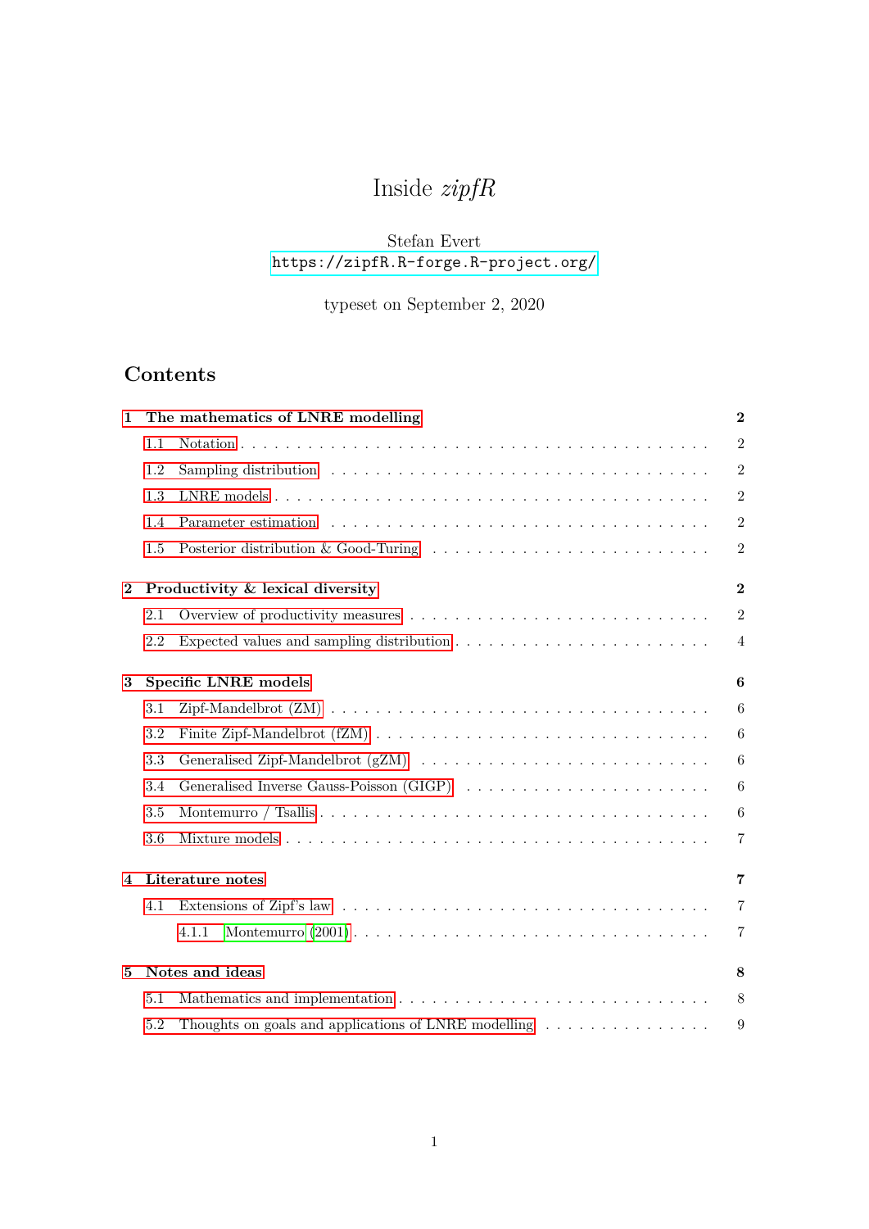# Inside *zipfR*

## Stefan Evert <https://zipfR.R-forge.R-project.org/>

## typeset on September 2, 2020

## **Contents**

| 1        |                      | The mathematics of LNRE modelling                                                         | $\bf{2}$         |  |
|----------|----------------------|-------------------------------------------------------------------------------------------|------------------|--|
|          | 1.1                  |                                                                                           | $\overline{2}$   |  |
|          | 1.2                  |                                                                                           | $\mathbf{2}$     |  |
|          | 1.3                  |                                                                                           | $\overline{2}$   |  |
|          | 1.4                  |                                                                                           | $\mathbf{2}$     |  |
|          | 1.5                  | Posterior distribution & Good-Turing                                                      | $\overline{2}$   |  |
| $\bf{2}$ |                      | Productivity & lexical diversity                                                          | $\overline{2}$   |  |
|          | 2.1                  |                                                                                           | $\overline{2}$   |  |
|          | 2.2                  |                                                                                           | $\overline{4}$   |  |
| $\bf{3}$ |                      | Specific LNRE models                                                                      | $\boldsymbol{6}$ |  |
|          | 3.1                  |                                                                                           | 6                |  |
|          | 3.2                  |                                                                                           | 6                |  |
|          | 3.3                  |                                                                                           | $6\phantom{.}6$  |  |
|          | 3.4                  |                                                                                           | 6                |  |
|          | 3.5                  |                                                                                           | 6                |  |
|          | 3.6                  |                                                                                           | $\overline{7}$   |  |
| 4        |                      | Literature notes                                                                          | 7                |  |
|          | 4.1                  |                                                                                           | $\overline{7}$   |  |
|          |                      | 4.1.1                                                                                     | 7                |  |
| 5        | Notes and ideas<br>8 |                                                                                           |                  |  |
|          | 5.1                  |                                                                                           | 8                |  |
|          | 5.2                  | Thoughts on goals and applications of LNRE modelling $\ldots \ldots \ldots \ldots \ldots$ | 9                |  |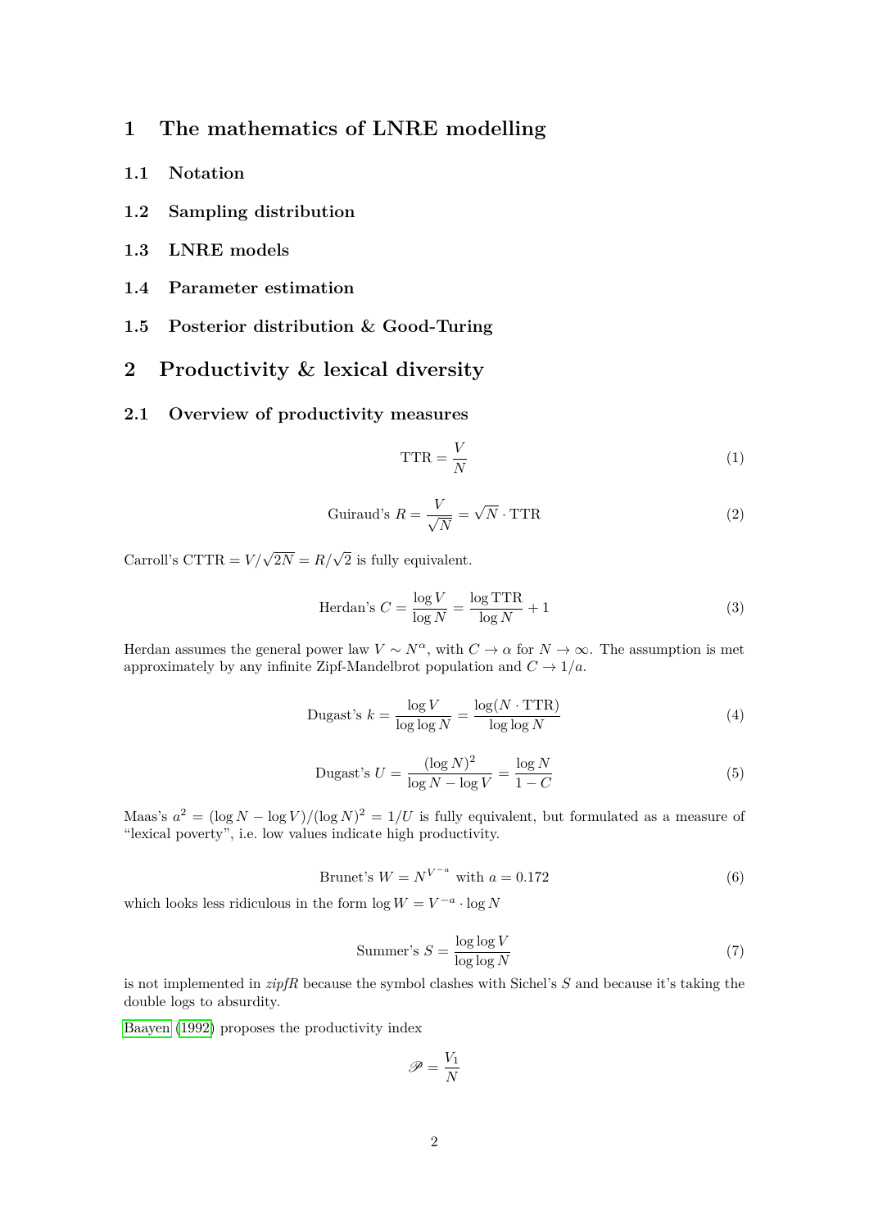## <span id="page-1-0"></span>**1 The mathematics of LNRE modelling**

- <span id="page-1-1"></span>**1.1 Notation**
- <span id="page-1-2"></span>**1.2 Sampling distribution**
- <span id="page-1-3"></span>**1.3 LNRE models**
- <span id="page-1-4"></span>**1.4 Parameter estimation**
- <span id="page-1-5"></span>**1.5 Posterior distribution & Good-Turing**

### <span id="page-1-6"></span>**2 Productivity & lexical diversity**

#### <span id="page-1-7"></span>**2.1 Overview of productivity measures**

$$
TTR = \frac{V}{N}
$$
 (1)

$$
Guiraud's \tR = \frac{V}{\sqrt{N}} = \sqrt{N} \cdot \text{TTR}
$$
\n<sup>(2)</sup>

Carroll's CTTR =  $V/\sqrt{2N} = R/\sqrt{2}$  is fully equivalent.

$$
\text{Herdan's } C = \frac{\log V}{\log N} = \frac{\log \text{TTR}}{\log N} + 1 \tag{3}
$$

Herdan assumes the general power law  $V \sim N^{\alpha}$ , with  $C \to \alpha$  for  $N \to \infty$ . The assumption is met approximately by any infinite Zipf-Mandelbrot population and  $C \to 1/a$ .

$$
\text{Dugast's } k = \frac{\log V}{\log \log N} = \frac{\log (N \cdot \text{TTR})}{\log \log N} \tag{4}
$$

Dugast's 
$$
U = \frac{(\log N)^2}{\log N - \log V} = \frac{\log N}{1 - C}
$$
 (5)

Maas's  $a^2 = (\log N - \log V)/(\log N)^2 = 1/U$  is fully equivalent, but formulated as a measure of "lexical poverty", i.e. low values indicate high productivity.

Brunet's  $W = N^{V^{-a}}$  with  $a = 0.172$  (6)

which looks less ridiculous in the form  $\log W = V^{-a} \cdot \log N$ 

$$
Summer's S = \frac{\log \log V}{\log \log N}
$$
 (7)

is not implemented in *zipfR* because the symbol clashes with Sichel's *S* and because it's taking the double logs to absurdity.

[Baayen](#page-8-2) [\(1992\)](#page-8-2) proposes the productivity index

$$
\mathscr{P}=\frac{V_1}{N}
$$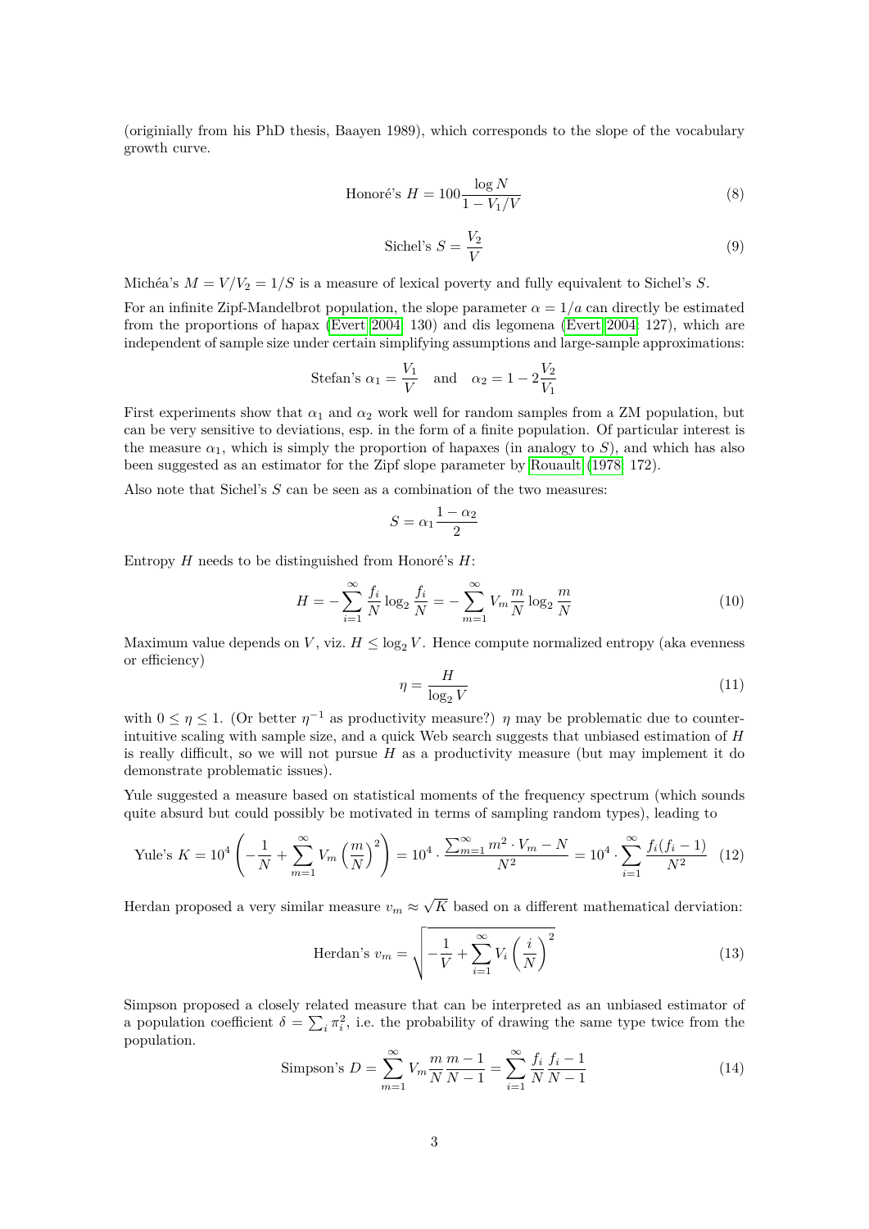(originially from his PhD thesis, Baayen 1989), which corresponds to the slope of the vocabulary growth curve.

$$
\text{Honoré's } H = 100 \frac{\log N}{1 - V_1/V} \tag{8}
$$

$$
\text{Sichel's } S = \frac{V_2}{V} \tag{9}
$$

Michéa's  $M = V/V_2 = 1/S$  is a measure of lexical poverty and fully equivalent to Sichel's S.

For an infinite Zipf-Mandelbrot population, the slope parameter  $\alpha = 1/a$  can directly be estimated from the proportions of hapax [\(Evert 2004:](#page-8-3) 130) and dis legomena [\(Evert 2004:](#page-8-3) 127), which are independent of sample size under certain simplifying assumptions and large-sample approximations:

Stefan's 
$$
\alpha_1 = \frac{V_1}{V}
$$
 and  $\alpha_2 = 1 - 2\frac{V_2}{V_1}$ 

First experiments show that  $\alpha_1$  and  $\alpha_2$  work well for random samples from a ZM population, but can be very sensitive to deviations, esp. in the form of a finite population. Of particular interest is the measure  $\alpha_1$ , which is simply the proportion of hapaxes (in analogy to *S*), and which has also been suggested as an estimator for the Zipf slope parameter by [Rouault](#page-8-4) [\(1978:](#page-8-4) 172).

Also note that Sichel's *S* can be seen as a combination of the two measures:

$$
S = \alpha_1 \frac{1 - \alpha_2}{2}
$$

Entropy *H* needs to be distinguished from Honoré's *H*:

$$
H = -\sum_{i=1}^{\infty} \frac{f_i}{N} \log_2 \frac{f_i}{N} = -\sum_{m=1}^{\infty} V_m \frac{m}{N} \log_2 \frac{m}{N}
$$
(10)

Maximum value depends on *V*, viz.  $H \leq \log_2 V$ . Hence compute normalized entropy (aka evenness or efficiency)

$$
\eta = \frac{H}{\log_2 V} \tag{11}
$$

with  $0 \leq \eta \leq 1$ . (Or better  $\eta^{-1}$  as productivity measure?)  $\eta$  may be problematic due to counterintuitive scaling with sample size, and a quick Web search suggests that unbiased estimation of *H* is really difficult, so we will not pursue  $H$  as a productivity measure (but may implement it do demonstrate problematic issues).

Yule suggested a measure based on statistical moments of the frequency spectrum (which sounds quite absurd but could possibly be motivated in terms of sampling random types), leading to

Yule's 
$$
K = 10^4 \left( -\frac{1}{N} + \sum_{m=1}^{\infty} V_m \left( \frac{m}{N} \right)^2 \right) = 10^4 \cdot \frac{\sum_{m=1}^{\infty} m^2 \cdot V_m - N}{N^2} = 10^4 \cdot \sum_{i=1}^{\infty} \frac{f_i(f_i - 1)}{N^2}
$$
 (12)

Herdan proposed a very similar measure  $v_m \approx$ √ *K* based on a different mathematical derviation:

$$
\text{Herdan's } v_m = \sqrt{-\frac{1}{V} + \sum_{i=1}^{\infty} V_i \left(\frac{i}{N}\right)^2} \tag{13}
$$

Simpson proposed a closely related measure that can be interpreted as an unbiased estimator of a population coefficient  $\delta = \sum_i \pi_i^2$ , i.e. the probability of drawing the same type twice from the population.

Simpson's 
$$
D = \sum_{m=1}^{\infty} V_m \frac{m}{N} \frac{m-1}{N-1} = \sum_{i=1}^{\infty} \frac{f_i}{N} \frac{f_i - 1}{N-1}
$$
 (14)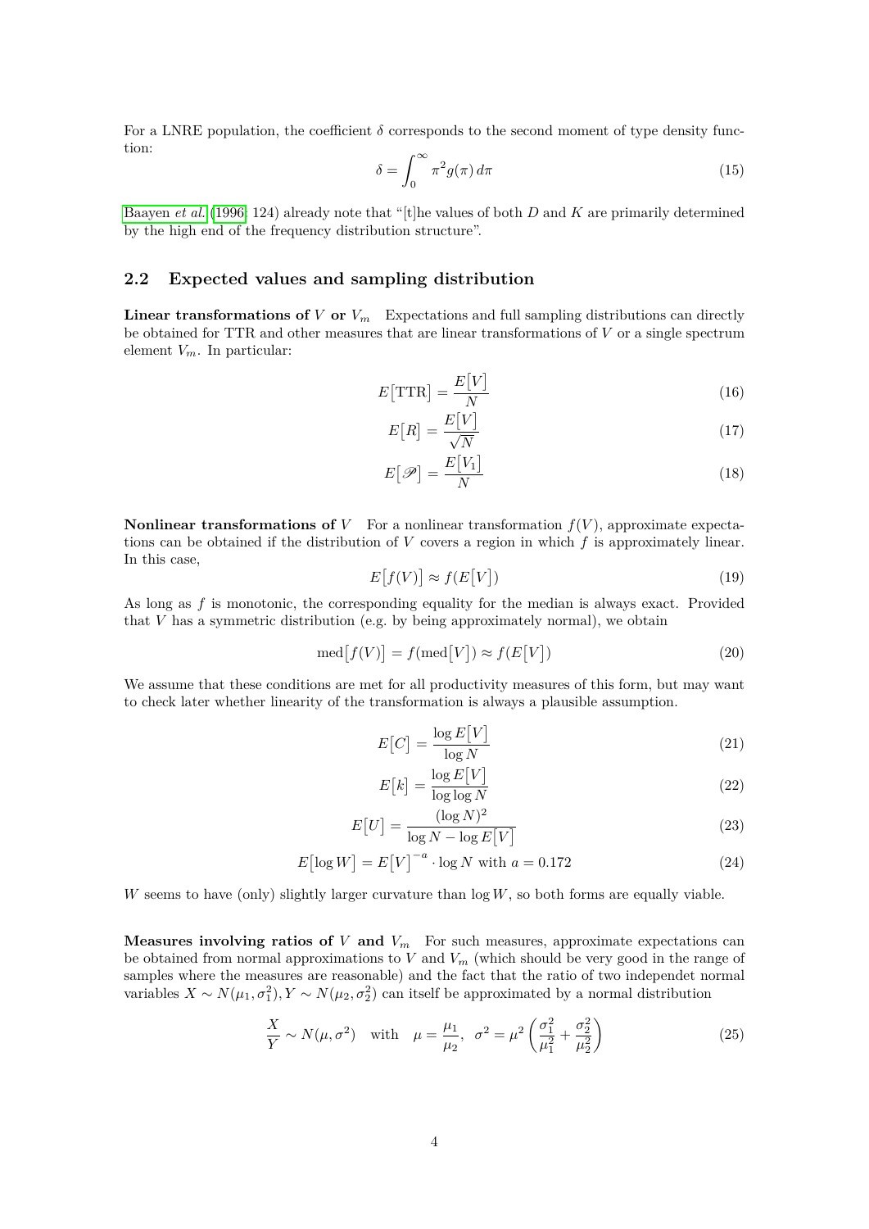For a LNRE population, the coefficient  $\delta$  corresponds to the second moment of type density function:

<span id="page-3-2"></span>
$$
\delta = \int_0^\infty \pi^2 g(\pi) \, d\pi \tag{15}
$$

[Baayen](#page-8-5) *et al.* [\(1996:](#page-8-5) 124) already note that "[t]he values of both *D* and *K* are primarily determined by the high end of the frequency distribution structure".

#### <span id="page-3-0"></span>**2.2 Expected values and sampling distribution**

**Linear transformations of**  $V$  or  $V_m$  Expectations and full sampling distributions can directly be obtained for TTR and other measures that are linear transformations of *V* or a single spectrum element *Vm*. In particular:

$$
E\left[\text{TTR}\right] = \frac{E\left[V\right]}{N} \tag{16}
$$

$$
E\left[R\right] = \frac{E\left[V\right]}{\sqrt{N}}\tag{17}
$$

$$
E[\mathscr{P}] = \frac{E[V_1]}{N} \tag{18}
$$

**Nonlinear transformations of** *V* For a nonlinear transformation  $f(V)$ , approximate expectations can be obtained if the distribution of *V* covers a region in which *f* is approximately linear. In this case,

$$
E[f(V)] \approx f(E[V])
$$
\n(19)

As long as *f* is monotonic, the corresponding equality for the median is always exact. Provided that *V* has a symmetric distribution (e.g. by being approximately normal), we obtain

$$
med[f(V)] = f(med[V]) \approx f(E[V])
$$
\n(20)

We assume that these conditions are met for all productivity measures of this form, but may want to check later whether linearity of the transformation is always a plausible assumption.

$$
E[C] = \frac{\log E[V]}{\log N}
$$
\n(21)

$$
E\left[k\right] = \frac{\log E\left[V\right]}{\log \log N} \tag{22}
$$

$$
E[U] = \frac{(\log N)^2}{\log N - \log E[V]} \tag{23}
$$

$$
E\left[\log W\right] = E\left[V\right]^{-a} \cdot \log N \text{ with } a = 0.172 \tag{24}
$$

*W* seems to have (only) slightly larger curvature than log *W*, so both forms are equally viable.

**Measures involving ratios of**  $V$  and  $V_m$  For such measures, approximate expectations can be obtained from normal approximations to *V* and *V<sup>m</sup>* (which should be very good in the range of samples where the measures are reasonable) and the fact that the ratio of two independet normal variables  $X \sim N(\mu_1, \sigma_1^2), Y \sim N(\mu_2, \sigma_2^2)$  can itself be approximated by a normal distribution

<span id="page-3-1"></span>
$$
\frac{X}{Y} \sim N(\mu, \sigma^2) \quad \text{with} \quad \mu = \frac{\mu_1}{\mu_2}, \quad \sigma^2 = \mu^2 \left( \frac{\sigma_1^2}{\mu_1^2} + \frac{\sigma_2^2}{\mu_2^2} \right) \tag{25}
$$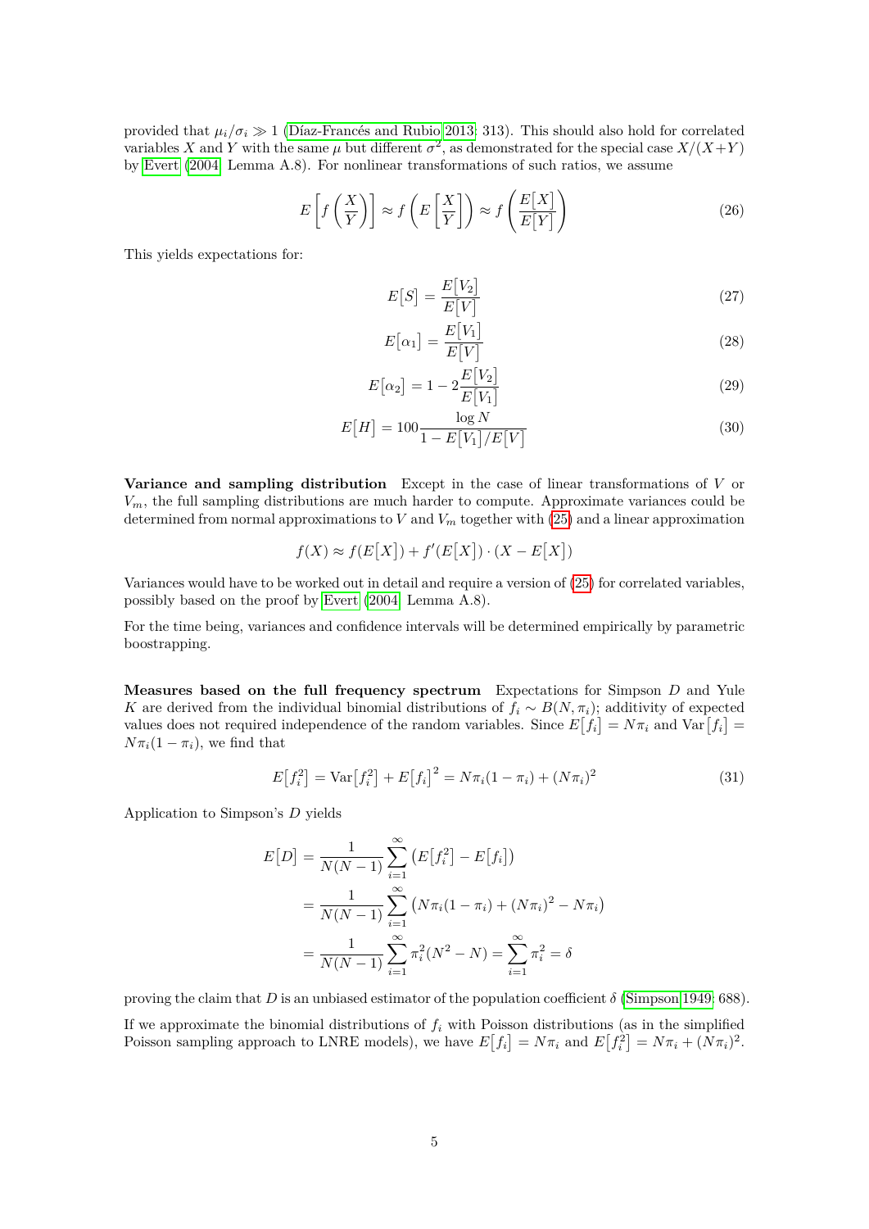provided that  $\mu_i/\sigma_i \gg 1$  [\(Díaz-Francés and Rubio 2013:](#page-8-6) 313). This should also hold for correlated variables *X* and *Y* with the same  $\mu$  but different  $\sigma^2$ , as demonstrated for the special case  $X/(X+Y)$ by [Evert](#page-8-3) [\(2004:](#page-8-3) Lemma A.8). For nonlinear transformations of such ratios, we assume

$$
E\left[f\left(\frac{X}{Y}\right)\right] \approx f\left(E\left[\frac{X}{Y}\right]\right) \approx f\left(\frac{E[X]}{E[Y]}\right) \tag{26}
$$

This yields expectations for:

$$
E[S] = \frac{E[V_2]}{E[V]} \tag{27}
$$

$$
E\left[\alpha_1\right] = \frac{E\left[V_1\right]}{E\left[V\right]}
$$
\n<sup>(28)</sup>

$$
E\left[\alpha_2\right] = 1 - 2\frac{E\left[V_2\right]}{E\left[V_1\right]}
$$
\n<sup>(29)</sup>

$$
E[H] = 100 \frac{\log N}{1 - E[V_1]/E[V]} \tag{30}
$$

**Variance and sampling distribution** Except in the case of linear transformations of *V* or *Vm*, the full sampling distributions are much harder to compute. Approximate variances could be determined from normal approximations to *V* and  $V<sub>m</sub>$  together with [\(25\)](#page-3-1) and a linear approximation

$$
f(X) \approx f(E[X]) + f'(E[X]) \cdot (X - E[X])
$$

Variances would have to be worked out in detail and require a version of [\(25\)](#page-3-1) for correlated variables, possibly based on the proof by [Evert](#page-8-3) [\(2004:](#page-8-3) Lemma A.8).

For the time being, variances and confidence intervals will be determined empirically by parametric boostrapping.

**Measures based on the full frequency spectrum** Expectations for Simpson *D* and Yule *K* are derived from the individual binomial distributions of  $f_i \sim B(N, \pi_i)$ ; additivity of expected values does not required independence of the random variables. Since  $E[f_i] = N\pi_i$  and  $Var[f_i] =$  $N\pi_i(1-\pi_i)$ , we find that

$$
E[f_i^2] = \text{Var}[f_i^2] + E[f_i]^2 = N\pi_i(1 - \pi_i) + (N\pi_i)^2
$$
\n(31)

Application to Simpson's *D* yields

$$
E[D] = \frac{1}{N(N-1)} \sum_{i=1}^{\infty} \left( E[f_i^2] - E[f_i] \right)
$$
  
= 
$$
\frac{1}{N(N-1)} \sum_{i=1}^{\infty} \left( N \pi_i (1 - \pi_i) + (N \pi_i)^2 - N \pi_i \right)
$$
  
= 
$$
\frac{1}{N(N-1)} \sum_{i=1}^{\infty} \pi_i^2 (N^2 - N) = \sum_{i=1}^{\infty} \pi_i^2 = \delta
$$

proving the claim that *D* is an unbiased estimator of the population coefficient *δ* [\(Simpson 1949:](#page-8-7) 688).

If we approximate the binomial distributions of  $f_i$  with Poisson distributions (as in the simplified Poisson sampling approach to LNRE models), we have  $E[f_i] = N\pi_i$  and  $E[f_i^2] = N\pi_i + (N\pi_i)^2$ .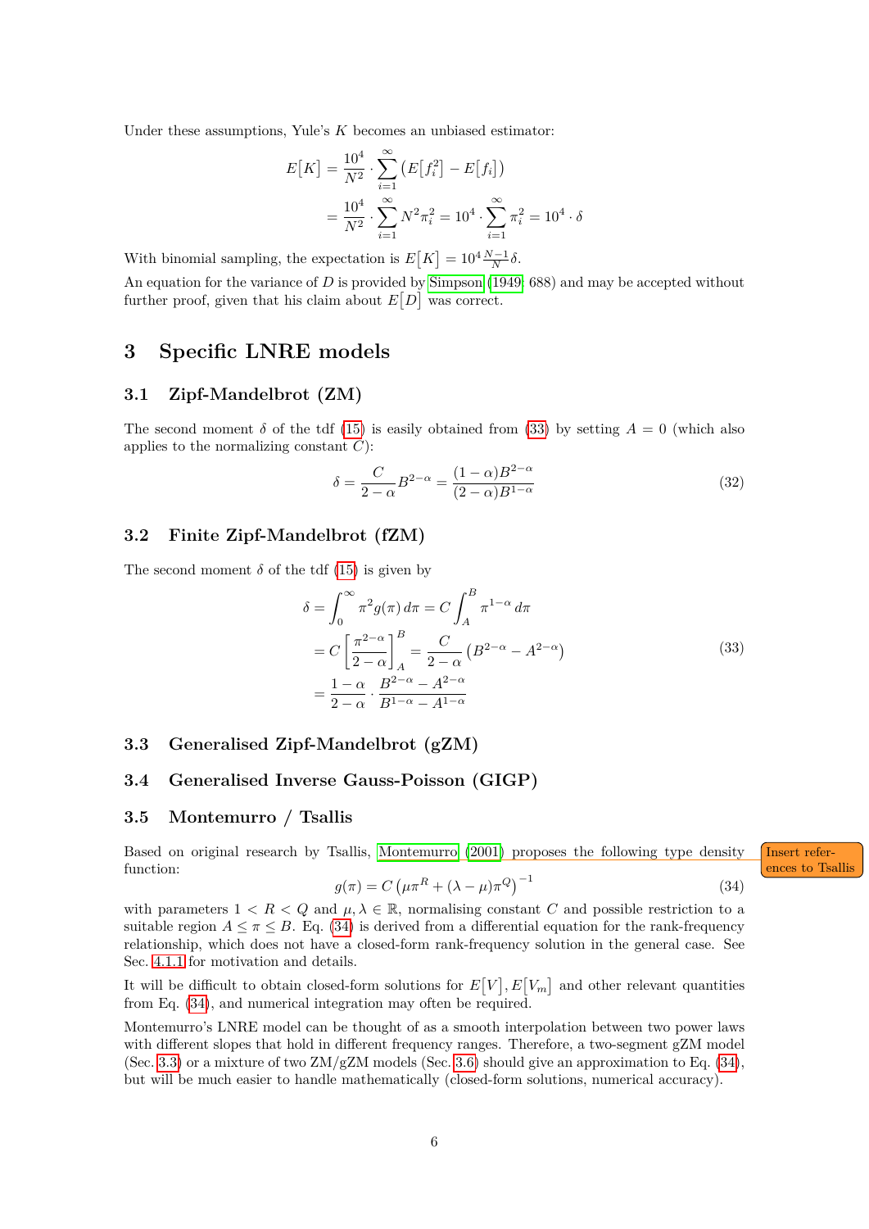Under these assumptions, Yule's *K* becomes an unbiased estimator:

$$
E[K] = \frac{10^4}{N^2} \cdot \sum_{i=1}^{\infty} \left( E[f_i^2] - E[f_i] \right)
$$
  
= 
$$
\frac{10^4}{N^2} \cdot \sum_{i=1}^{\infty} N^2 \pi_i^2 = 10^4 \cdot \sum_{i=1}^{\infty} \pi_i^2 = 10^4 \cdot \delta
$$

With binomial sampling, the expectation is  $E[K] = 10^4 \frac{N-1}{N} \delta$ .

An equation for the variance of *D* is provided by [Simpson](#page-8-7) [\(1949:](#page-8-7) 688) and may be accepted without further proof, given that his claim about  $E[D]$  was correct.

### <span id="page-5-0"></span>**3 Specific LNRE models**

#### <span id="page-5-1"></span>**3.1 Zipf-Mandelbrot (ZM)**

The second moment  $\delta$  of the tdf [\(15\)](#page-3-2) is easily obtained from [\(33\)](#page-5-6) by setting  $A = 0$  (which also applies to the normalizing constant *C*):

$$
\delta = \frac{C}{2 - \alpha} B^{2 - \alpha} = \frac{(1 - \alpha)B^{2 - \alpha}}{(2 - \alpha)B^{1 - \alpha}}
$$
\n(32)

#### <span id="page-5-2"></span>**3.2 Finite Zipf-Mandelbrot (fZM)**

<span id="page-5-6"></span>The second moment  $\delta$  of the tdf [\(15\)](#page-3-2) is given by

$$
\delta = \int_0^\infty \pi^2 g(\pi) d\pi = C \int_A^B \pi^{1-\alpha} d\pi
$$
  
= 
$$
C \left[ \frac{\pi^{2-\alpha}}{2-\alpha} \right]_A^B = \frac{C}{2-\alpha} \left( B^{2-\alpha} - A^{2-\alpha} \right)
$$
  
= 
$$
\frac{1-\alpha}{2-\alpha} \cdot \frac{B^{2-\alpha} - A^{2-\alpha}}{B^{1-\alpha} - A^{1-\alpha}}
$$
 (33)

#### <span id="page-5-3"></span>**3.3 Generalised Zipf-Mandelbrot (gZM)**

#### <span id="page-5-4"></span>**3.4 Generalised Inverse Gauss-Poisson (GIGP)**

#### <span id="page-5-5"></span>**3.5 Montemurro / Tsallis**

Based on original research by Tsallis, [Montemurro](#page-8-0) [\(2001\)](#page-8-0) proposes the following type density Insert referfunction: **ences to Tsallis** 

<span id="page-5-8"></span><span id="page-5-7"></span>
$$
g(\pi) = C \left(\mu \pi^R + (\lambda - \mu)\pi^Q\right)^{-1}
$$
\n(34)

with parameters  $1 < R < Q$  and  $\mu, \lambda \in \mathbb{R}$ , normalising constant *C* and possible restriction to a suitable region  $A \leq \pi \leq B$ . Eq. [\(34\)](#page-5-7) is derived from a differential equation for the rank-frequency relationship, which does not have a closed-form rank-frequency solution in the general case. See Sec. [4.1.1](#page-6-3) for motivation and details.

It will be difficult to obtain closed-form solutions for  $E[V], E[V_m]$  and other relevant quantities from Eq. [\(34\)](#page-5-7), and numerical integration may often be required.

Montemurro's LNRE model can be thought of as a smooth interpolation between two power laws with different slopes that hold in different frequency ranges. Therefore, a two-segment gZM model (Sec. [3.3\)](#page-5-3) or a mixture of two  $\text{ZM/gZM}$  models (Sec. [3.6\)](#page-6-0) should give an approximation to Eq. [\(34\)](#page-5-7), but will be much easier to handle mathematically (closed-form solutions, numerical accuracy).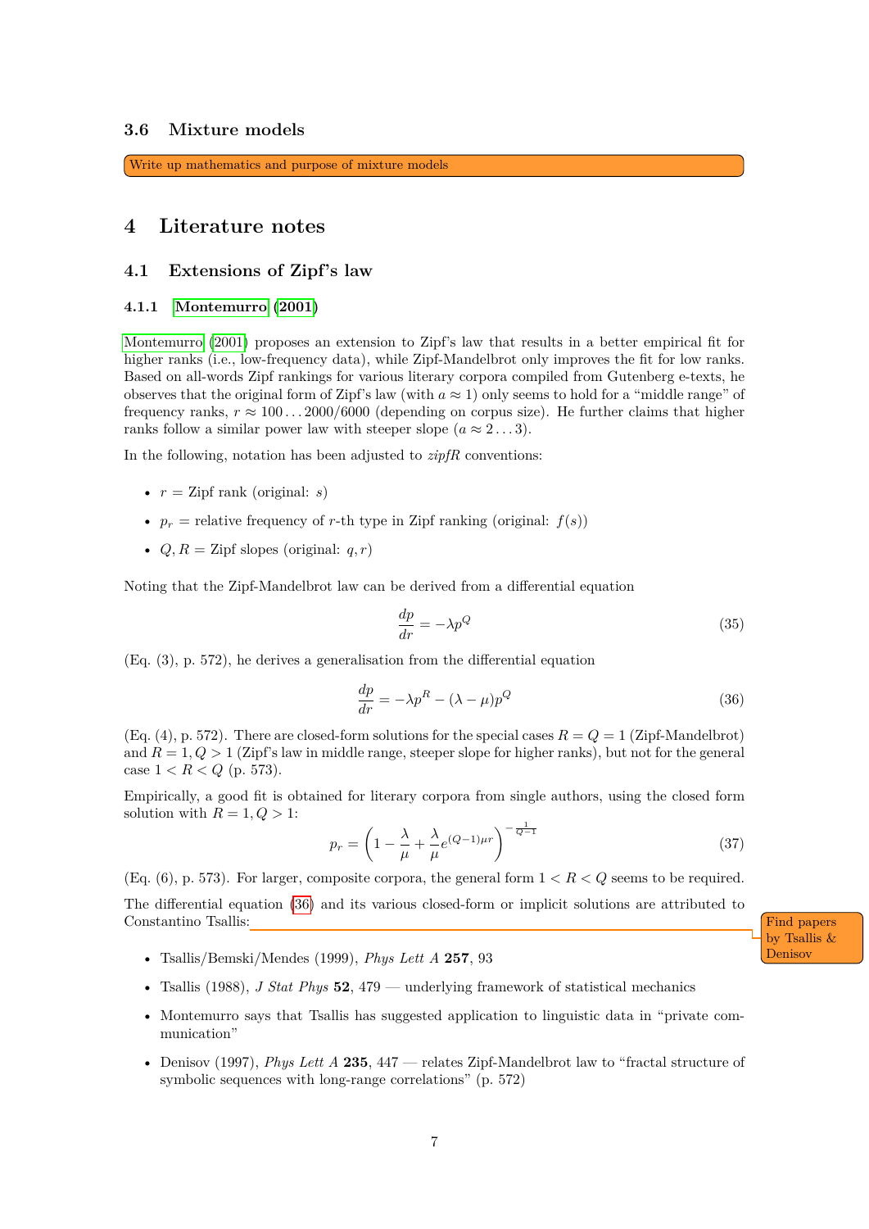#### <span id="page-6-0"></span>**3.6 Mixture models**

<span id="page-6-5"></span>Write up mathematics and purpose of mixture models

### <span id="page-6-1"></span>**4 Literature notes**

#### <span id="page-6-2"></span>**4.1 Extensions of Zipf's law**

#### <span id="page-6-3"></span>**4.1.1 [Montemurro](#page-8-0) [\(2001\)](#page-8-0)**

[Montemurro](#page-8-0) [\(2001\)](#page-8-0) proposes an extension to Zipf's law that results in a better empirical fit for higher ranks (i.e., low-frequency data), while Zipf-Mandelbrot only improves the fit for low ranks. Based on all-words Zipf rankings for various literary corpora compiled from Gutenberg e-texts, he observes that the original form of Zipf's law (with  $a \approx 1$ ) only seems to hold for a "middle range" of frequency ranks,  $r \approx 100 \dots 2000/6000$  (depending on corpus size). He further claims that higher ranks follow a similar power law with steeper slope  $(a \approx 2...3)$ .

In the following, notation has been adjusted to *zipfR* conventions:

- $r = \text{Zipf rank (original: } s)$
- $p_r$  = relative frequency of *r*-th type in Zipf ranking (original:  $f(s)$ )
- $Q, R = \text{Zipf slopes (original: } q, r)$

Noting that the Zipf-Mandelbrot law can be derived from a differential equation

$$
\frac{dp}{dr} = -\lambda p^Q \tag{35}
$$

(Eq. (3), p. 572), he derives a generalisation from the differential equation

<span id="page-6-4"></span>
$$
\frac{dp}{dr} = -\lambda p^R - (\lambda - \mu)p^Q \tag{36}
$$

 $(Eq. (4), p. 572)$ . There are closed-form solutions for the special cases  $R = Q = 1$  (Zipf-Mandelbrot) and  $R = 1, Q > 1$  (Zipf's law in middle range, steeper slope for higher ranks), but not for the general case  $1 < R < Q$  (p. 573).

Empirically, a good fit is obtained for literary corpora from single authors, using the closed form solution with  $R = 1, Q > 1$ :

$$
p_r = \left(1 - \frac{\lambda}{\mu} + \frac{\lambda}{\mu} e^{(Q-1)\mu r}\right)^{-\frac{1}{Q-1}}
$$
\n(37)

 $(Eq. (6), p. 573)$ . For larger, composite corpora, the general form  $1 < R < Q$  seems to be required. The differential equation [\(36\)](#page-6-4) and its various closed-form or implicit solutions are attributed to Constantino Tsallis: The Constantino Tsallis: The Constantino Tsallis: The Constantino Tsallis: The Constantino Tsallis: The Constantino Tsallis: The Constantino Tsallis: The Constantino Tsallis: The Constantino Tsallis: T

<span id="page-6-6"></span>• Tsallis/Bemski/Mendes (1999), *Phys Lett A* 257, 93

- Tsallis (1988), *J Stat Phys* **52**, 479 underlying framework of statistical mechanics
- Montemurro says that Tsallis has suggested application to linguistic data in "private communication"
- Denisov (1997), *Phys Lett A* **235**, 447 relates Zipf-Mandelbrot law to "fractal structure of symbolic sequences with long-range correlations" (p. 572)

by Tsallis &

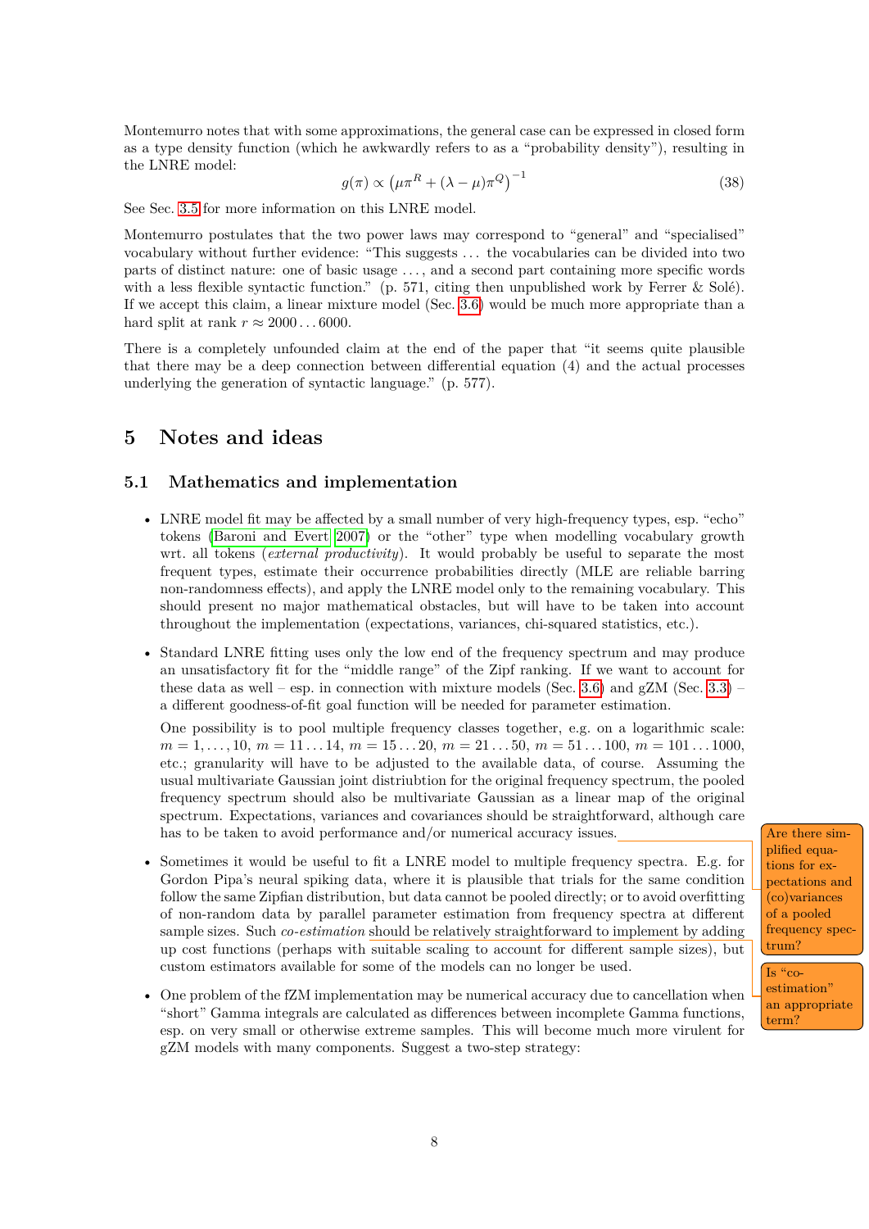Montemurro notes that with some approximations, the general case can be expressed in closed form as a type density function (which he awkwardly refers to as a "probability density"), resulting in the LNRE model:

$$
g(\pi) \propto \left(\mu \pi^R + (\lambda - \mu)\pi^Q\right)^{-1} \tag{38}
$$

See Sec. [3.5](#page-5-5) for more information on this LNRE model.

Montemurro postulates that the two power laws may correspond to "general" and "specialised" vocabulary without further evidence: "This suggests . . . the vocabularies can be divided into two parts of distinct nature: one of basic usage . . . , and a second part containing more specific words with a less flexible syntactic function." (p. 571, citing then unpublished work by Ferrer & Solé). If we accept this claim, a linear mixture model (Sec. [3.6\)](#page-6-0) would be much more appropriate than a hard split at rank  $r \approx 2000 \dots 6000$ .

There is a completely unfounded claim at the end of the paper that "it seems quite plausible that there may be a deep connection between differential equation (4) and the actual processes underlying the generation of syntactic language." (p. 577).

## <span id="page-7-0"></span>**5 Notes and ideas**

#### <span id="page-7-1"></span>**5.1 Mathematics and implementation**

- LNRE model fit may be affected by a small number of very high-frequency types, esp. "echo" tokens [\(Baroni and Evert 2007\)](#page-8-8) or the "other" type when modelling vocabulary growth wrt. all tokens (*external productivity*). It would probably be useful to separate the most frequent types, estimate their occurrence probabilities directly (MLE are reliable barring non-randomness effects), and apply the LNRE model only to the remaining vocabulary. This should present no major mathematical obstacles, but will have to be taken into account throughout the implementation (expectations, variances, chi-squared statistics, etc.).
- Standard LNRE fitting uses only the low end of the frequency spectrum and may produce an unsatisfactory fit for the "middle range" of the Zipf ranking. If we want to account for these data as well – esp. in connection with mixture models (Sec. [3.6\)](#page-6-0) and  $gZM$  (Sec. [3.3\)](#page-5-3) – a different goodness-of-fit goal function will be needed for parameter estimation.

One possibility is to pool multiple frequency classes together, e.g. on a logarithmic scale:  $m = 1, \ldots, 10, m = 11 \ldots 14, m = 15 \ldots 20, m = 21 \ldots 50, m = 51 \ldots 100, m = 101 \ldots 1000$ etc.; granularity will have to be adjusted to the available data, of course. Assuming the usual multivariate Gaussian joint distriubtion for the original frequency spectrum, the pooled frequency spectrum should also be multivariate Gaussian as a linear map of the original spectrum. Expectations, variances and covariances should be straightforward, although care has to be taken to avoid performance and/or numerical accuracy issues.  $\int$  Are there sim-

- <span id="page-7-3"></span>• Sometimes it would be useful to fit a LNRE model to multiple frequency spectra. E.g. for Gordon Pipa's neural spiking data, where it is plausible that trials for the same condition follow the same Zipfian distribution, but data cannot be pooled directly; or to avoid overfitting of non-random data by parallel parameter estimation from frequency spectra at different sample sizes. Such *co-estimation* should be relatively straightforward to implement by adding up cost functions (perhaps with suitable scaling to account for different sample sizes), but custom estimators available for some of the models can no longer be used.
- One problem of the fZM implementation may be numerical accuracy due to cancellation when "short" Gamma integrals are calculated as differences between incomplete Gamma functions, esp. on very small or otherwise extreme samples. This will become much more virulent for gZM models with many components. Suggest a two-step strategy:

<span id="page-7-2"></span>plified equations for expectations and (co)variances of a pooled frequency spectrum?

Is " $co$ estimation" an appropriate term?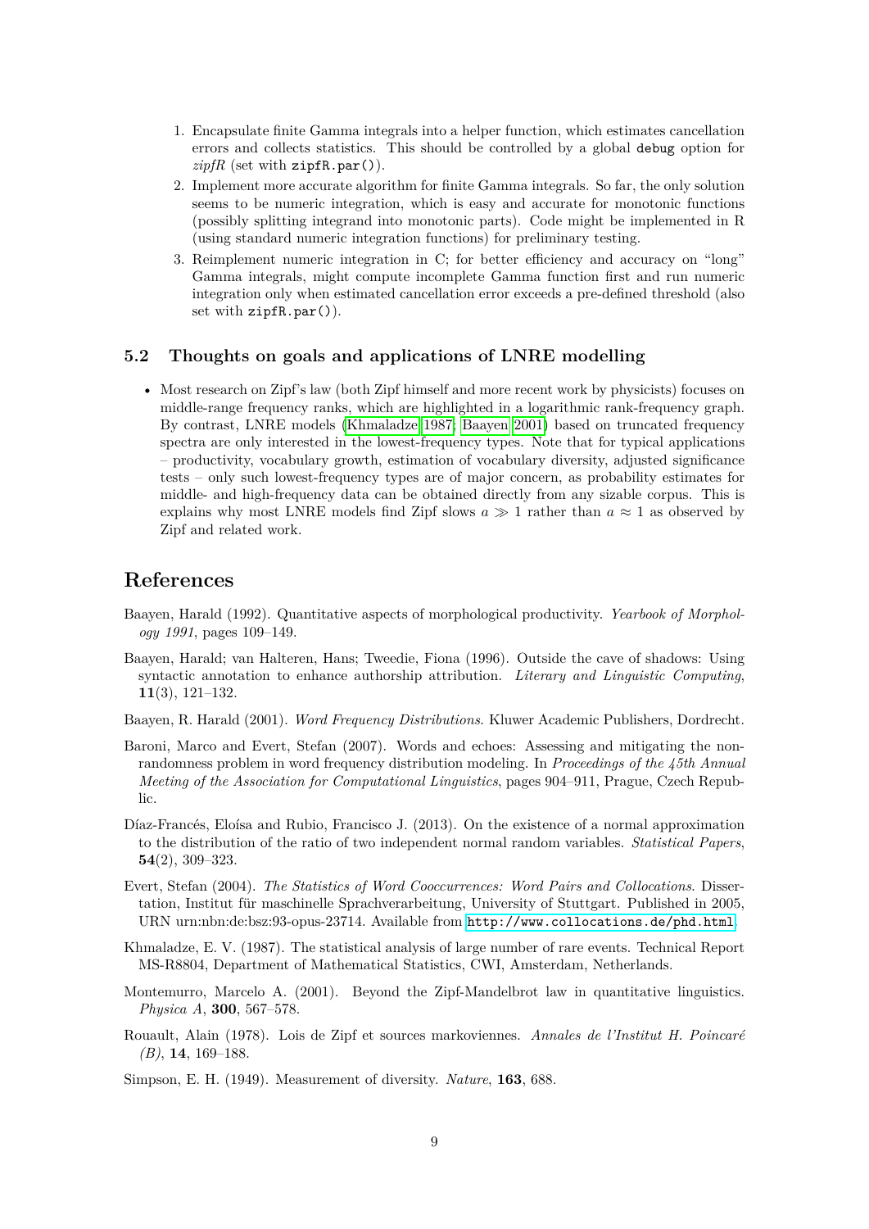- 1. Encapsulate finite Gamma integrals into a helper function, which estimates cancellation errors and collects statistics. This should be controlled by a global debug option for  $zipfR$  (set with  $zipfR.par()$ ).
- 2. Implement more accurate algorithm for finite Gamma integrals. So far, the only solution seems to be numeric integration, which is easy and accurate for monotonic functions (possibly splitting integrand into monotonic parts). Code might be implemented in R (using standard numeric integration functions) for preliminary testing.
- 3. Reimplement numeric integration in C; for better efficiency and accuracy on "long" Gamma integrals, might compute incomplete Gamma function first and run numeric integration only when estimated cancellation error exceeds a pre-defined threshold (also set with zipfR.par()).

#### <span id="page-8-1"></span>**5.2 Thoughts on goals and applications of LNRE modelling**

• Most research on Zipf's law (both Zipf himself and more recent work by physicists) focuses on middle-range frequency ranks, which are highlighted in a logarithmic rank-frequency graph. By contrast, LNRE models [\(Khmaladze 1987;](#page-8-9) [Baayen 2001\)](#page-8-10) based on truncated frequency spectra are only interested in the lowest-frequency types. Note that for typical applications – productivity, vocabulary growth, estimation of vocabulary diversity, adjusted significance tests – only such lowest-frequency types are of major concern, as probability estimates for middle- and high-frequency data can be obtained directly from any sizable corpus. This is explains why most LNRE models find Zipf slows  $a \gg 1$  rather than  $a \approx 1$  as observed by Zipf and related work.

### **References**

- <span id="page-8-2"></span>Baayen, Harald (1992). Quantitative aspects of morphological productivity. *Yearbook of Morphology 1991*, pages 109–149.
- <span id="page-8-5"></span>Baayen, Harald; van Halteren, Hans; Tweedie, Fiona (1996). Outside the cave of shadows: Using syntactic annotation to enhance authorship attribution. *Literary and Linguistic Computing*, **11**(3), 121–132.
- <span id="page-8-10"></span>Baayen, R. Harald (2001). *Word Frequency Distributions*. Kluwer Academic Publishers, Dordrecht.
- <span id="page-8-8"></span>Baroni, Marco and Evert, Stefan (2007). Words and echoes: Assessing and mitigating the nonrandomness problem in word frequency distribution modeling. In *Proceedings of the 45th Annual Meeting of the Association for Computational Linguistics*, pages 904–911, Prague, Czech Republic.
- <span id="page-8-6"></span>Díaz-Francés, Eloísa and Rubio, Francisco J. (2013). On the existence of a normal approximation to the distribution of the ratio of two independent normal random variables. *Statistical Papers*, **54**(2), 309–323.
- <span id="page-8-3"></span>Evert, Stefan (2004). *The Statistics of Word Cooccurrences: Word Pairs and Collocations*. Dissertation, Institut für maschinelle Sprachverarbeitung, University of Stuttgart. Published in 2005, URN urn:nbn:de:bsz:93-opus-23714. Available from <http://www.collocations.de/phd.html>.
- <span id="page-8-9"></span>Khmaladze, E. V. (1987). The statistical analysis of large number of rare events. Technical Report MS-R8804, Department of Mathematical Statistics, CWI, Amsterdam, Netherlands.
- <span id="page-8-0"></span>Montemurro, Marcelo A. (2001). Beyond the Zipf-Mandelbrot law in quantitative linguistics. *Physica A*, **300**, 567–578.
- <span id="page-8-4"></span>Rouault, Alain (1978). Lois de Zipf et sources markoviennes. *Annales de l'Institut H. Poincaré (B)*, **14**, 169–188.

<span id="page-8-7"></span>Simpson, E. H. (1949). Measurement of diversity. *Nature*, **163**, 688.